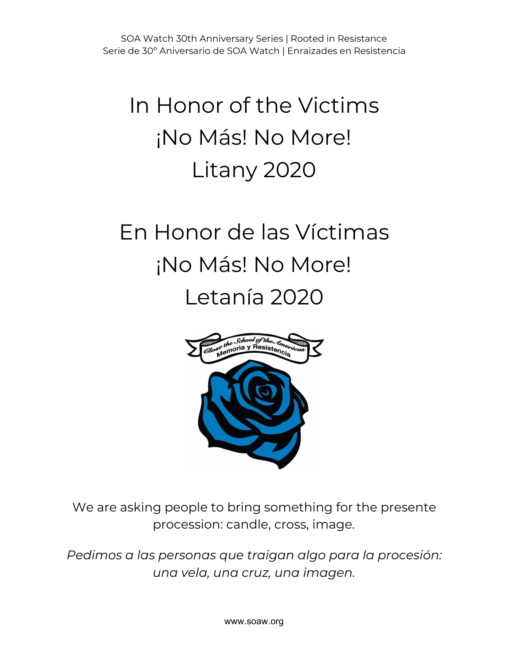# In Honor of the Victims ¡No Más! No More! Litany 2020

# En Honor de las Víctimas ¡No Más! No More! Letanía 2020



We are asking people to bring something for the presente procession: candle, cross, image.

*Pedimos a las personas que traigan algo para la procesión: una vela, una cruz, una imagen.*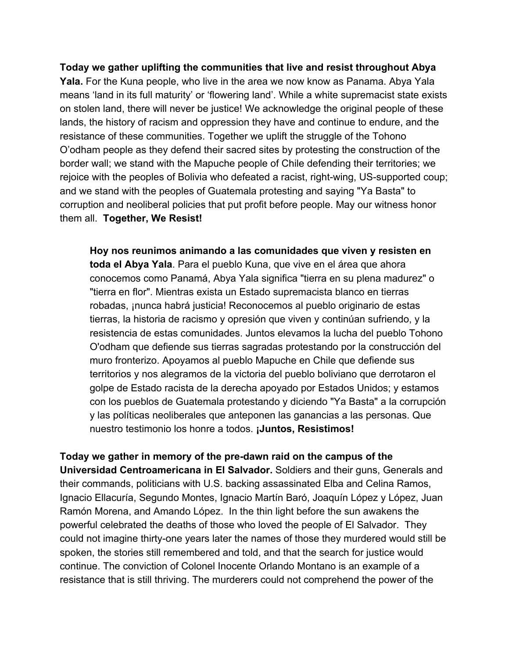**Today we gather uplifting the communities that live and resist throughout Abya Yala.** For the Kuna people, who live in the area we now know as Panama. Abya Yala means 'land in its full maturity' or 'flowering land'. While a white supremacist state exists on stolen land, there will never be justice! We acknowledge the original people of these lands, the history of racism and oppression they have and continue to endure, and the resistance of these communities. Together we uplift the struggle of the Tohono O'odham people as they defend their sacred sites by protesting the construction of the border wall; we stand with the Mapuche people of Chile defending their territories; we rejoice with the peoples of Bolivia who defeated a racist, right-wing, US-supported coup; and we stand with the peoples of Guatemala protesting and saying "Ya Basta" to corruption and neoliberal policies that put profit before people. May our witness honor them all. **Together, We Resist!**

**Hoy nos reunimos animando a las comunidades que viven y resisten en toda el Abya Yala**. Para el pueblo Kuna, que vive en el área que ahora conocemos como Panamá, Abya Yala significa "tierra en su plena madurez" o "tierra en flor". Mientras exista un Estado supremacista blanco en tierras robadas, ¡nunca habrá justicia! Reconocemos al pueblo originario de estas tierras, la historia de racismo y opresión que viven y continúan sufriendo, y la resistencia de estas comunidades. Juntos elevamos la lucha del pueblo Tohono O'odham que defiende sus tierras sagradas protestando por la construcción del muro fronterizo. Apoyamos al pueblo Mapuche en Chile que defiende sus territorios y nos alegramos de la victoria del pueblo boliviano que derrotaron el golpe de Estado racista de la derecha apoyado por Estados Unidos; y estamos con los pueblos de Guatemala protestando y diciendo "Ya Basta" a la corrupción y las políticas neoliberales que anteponen las ganancias a las personas. Que nuestro testimonio los honre a todos. **¡Juntos, Resistimos!**

#### **Today we gather in memory of the pre-dawn raid on the campus of the**

**Universidad Centroamericana in El Salvador.** Soldiers and their guns, Generals and their commands, politicians with U.S. backing assassinated Elba and Celina Ramos, Ignacio Ellacuría, Segundo Montes, Ignacio Martín Baró, Joaquín López y López, Juan Ramón Morena, and Amando López. In the thin light before the sun awakens the powerful celebrated the deaths of those who loved the people of El Salvador. They could not imagine thirty-one years later the names of those they murdered would still be spoken, the stories still remembered and told, and that the search for justice would continue. The conviction of Colonel Inocente Orlando Montano is an example of a resistance that is still thriving. The murderers could not comprehend the power of the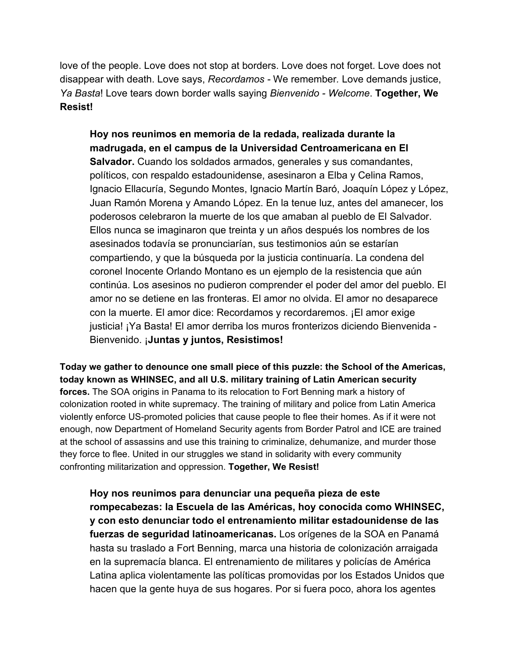love of the people. Love does not stop at borders. Love does not forget. Love does not disappear with death. Love says, *Recordamos -* We remember*.* Love demands justice, *Ya Basta*! Love tears down border walls saying *Bienvenido - Welcome*. **Together, We Resist!**

**Hoy nos reunimos en memoria de la redada, realizada durante la madrugada, en el campus de la Universidad Centroamericana en El Salvador.** Cuando los soldados armados, generales y sus comandantes, políticos, con respaldo estadounidense, asesinaron a Elba y Celina Ramos, Ignacio Ellacuría, Segundo Montes, Ignacio Martín Baró, Joaquín López y López, Juan Ramón Morena y Amando López. En la tenue luz, antes del amanecer, los poderosos celebraron la muerte de los que amaban al pueblo de El Salvador. Ellos nunca se imaginaron que treinta y un años después los nombres de los asesinados todavía se pronunciarían, sus testimonios aún se estarían compartiendo, y que la búsqueda por la justicia continuaría. La condena del coronel Inocente Orlando Montano es un ejemplo de la resistencia que aún continúa. Los asesinos no pudieron comprender el poder del amor del pueblo. El amor no se detiene en las fronteras. El amor no olvida. El amor no desaparece con la muerte. El amor dice: Recordamos y recordaremos. ¡El amor exige justicia! ¡Ya Basta! El amor derriba los muros fronterizos diciendo Bienvenida - Bienvenido. ¡**Juntas y juntos, Resistimos!**

**Today we gather to denounce one small piece of this puzzle: the School of the Americas, today known as WHINSEC, and all U.S. military training of Latin American security forces.** The SOA origins in Panama to its relocation to Fort Benning mark a history of colonization rooted in white supremacy. The training of military and police from Latin America violently enforce US-promoted policies that cause people to flee their homes. As if it were not enough, now Department of Homeland Security agents from Border Patrol and ICE are trained at the school of assassins and use this training to criminalize, dehumanize, and murder those they force to flee. United in our struggles we stand in solidarity with every community confronting militarization and oppression. **Together, We Resist!**

**Hoy nos reunimos para denunciar una pequeña pieza de este rompecabezas: la Escuela de las Américas, hoy conocida como WHINSEC, y con esto denunciar todo el entrenamiento militar estadounidense de las fuerzas de seguridad latinoamericanas.** Los orígenes de la SOA en Panamá hasta su traslado a Fort Benning, marca una historia de colonización arraigada en la supremacía blanca. El entrenamiento de militares y policías de América Latina aplica violentamente las políticas promovidas por los Estados Unidos que hacen que la gente huya de sus hogares. Por si fuera poco, ahora los agentes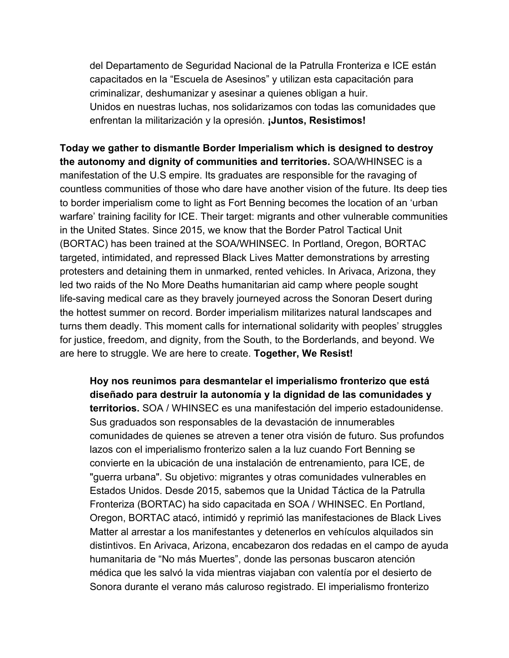del Departamento de Seguridad Nacional de la Patrulla Fronteriza e ICE están capacitados en la "Escuela de Asesinos" y utilizan esta capacitación para criminalizar, deshumanizar y asesinar a quienes obligan a huir. Unidos en nuestras luchas, nos solidarizamos con todas las comunidades que enfrentan la militarización y la opresión. **¡Juntos, Resistimos!**

**Today we gather to dismantle Border Imperialism which is designed to destroy the autonomy and dignity of communities and territories.** SOA/WHINSEC is a manifestation of the U.S empire. Its graduates are responsible for the ravaging of countless communities of those who dare have another vision of the future. Its deep ties to border imperialism come to light as Fort Benning becomes the location of an 'urban warfare' training facility for ICE. Their target: migrants and other vulnerable communities in the United States. Since 2015, we know that the Border Patrol Tactical Unit (BORTAC) has been trained at the SOA/WHINSEC. In Portland, Oregon, BORTAC targeted, intimidated, and repressed Black Lives Matter demonstrations by arresting protesters and detaining them in unmarked, rented vehicles. In Arivaca, Arizona, they led two raids of the No More Deaths humanitarian aid camp where people sought life-saving medical care as they bravely journeyed across the Sonoran Desert during the hottest summer on record. Border imperialism militarizes natural landscapes and turns them deadly. This moment calls for international solidarity with peoples' struggles for justice, freedom, and dignity, from the South, to the Borderlands, and beyond. We are here to struggle. We are here to create. **Together, We Resist!**

**Hoy nos reunimos para desmantelar el imperialismo fronterizo que está diseñado para destruir la autonomía y la dignidad de las comunidades y territorios.** SOA / WHINSEC es una manifestación del imperio estadounidense. Sus graduados son responsables de la devastación de innumerables comunidades de quienes se atreven a tener otra visión de futuro. Sus profundos lazos con el imperialismo fronterizo salen a la luz cuando Fort Benning se convierte en la ubicación de una instalación de entrenamiento, para ICE, de "guerra urbana". Su objetivo: migrantes y otras comunidades vulnerables en Estados Unidos. Desde 2015, sabemos que la Unidad Táctica de la Patrulla Fronteriza (BORTAC) ha sido capacitada en SOA / WHINSEC. En Portland, Oregon, BORTAC atacó, intimidó y reprimió las manifestaciones de Black Lives Matter al arrestar a los manifestantes y detenerlos en vehículos alquilados sin distintivos. En Arivaca, Arizona, encabezaron dos redadas en el campo de ayuda humanitaria de "No más Muertes", donde las personas buscaron atención médica que les salvó la vida mientras viajaban con valentía por el desierto de Sonora durante el verano más caluroso registrado. El imperialismo fronterizo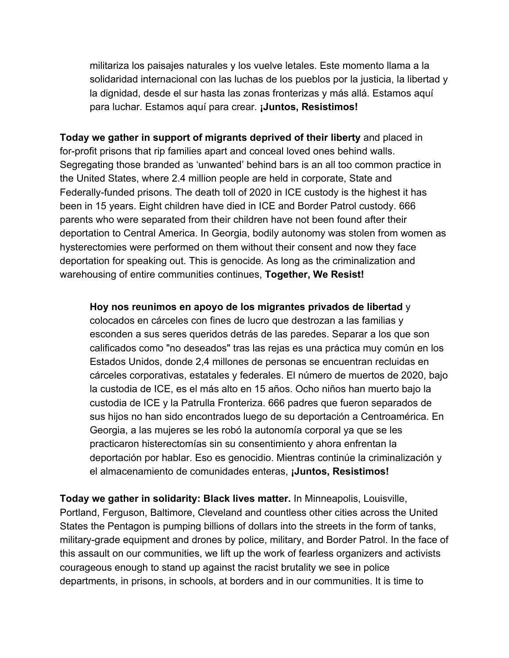militariza los paisajes naturales y los vuelve letales. Este momento llama a la solidaridad internacional con las luchas de los pueblos por la justicia, la libertad y la dignidad, desde el sur hasta las zonas fronterizas y más allá. Estamos aquí para luchar. Estamos aquí para crear. **¡Juntos, Resistimos!**

**Today we gather in support of migrants deprived of their liberty** and placed in for-profit prisons that rip families apart and conceal loved ones behind walls. Segregating those branded as 'unwanted' behind bars is an all too common practice in the United States, where 2.4 million people are held in corporate, State and Federally-funded prisons. The death toll of 2020 in ICE custody is the highest it has been in 15 years. Eight children have died in ICE and Border Patrol custody. 666 parents who were separated from their children have not been found after their deportation to Central America. In Georgia, bodily autonomy was stolen from women as hysterectomies were performed on them without their consent and now they face deportation for speaking out. This is genocide. As long as the criminalization and warehousing of entire communities continues, **Together, We Resist!**

**Hoy nos reunimos en apoyo de los migrantes privados de libertad** y

colocados en cárceles con fines de lucro que destrozan a las familias y esconden a sus seres queridos detrás de las paredes. Separar a los que son calificados como "no deseados" tras las rejas es una práctica muy común en los Estados Unidos, donde 2,4 millones de personas se encuentran recluidas en cárceles corporativas, estatales y federales. El número de muertos de 2020, bajo la custodia de ICE, es el más alto en 15 años. Ocho niños han muerto bajo la custodia de ICE y la Patrulla Fronteriza. 666 padres que fueron separados de sus hijos no han sido encontrados luego de su deportación a Centroamérica. En Georgia, a las mujeres se les robó la autonomía corporal ya que se les practicaron histerectomías sin su consentimiento y ahora enfrentan la deportación por hablar. Eso es genocidio. Mientras continúe la criminalización y el almacenamiento de comunidades enteras, **¡Juntos, Resistimos!**

**Today we gather in solidarity: Black lives matter.** In Minneapolis, Louisville, Portland, Ferguson, Baltimore, Cleveland and countless other cities across the United States the Pentagon is pumping billions of dollars into the streets in the form of tanks, military-grade equipment and drones by police, military, and Border Patrol. In the face of this assault on our communities, we lift up the work of fearless organizers and activists courageous enough to stand up against the racist brutality we see in police departments, in prisons, in schools, at borders and in our communities. It is time to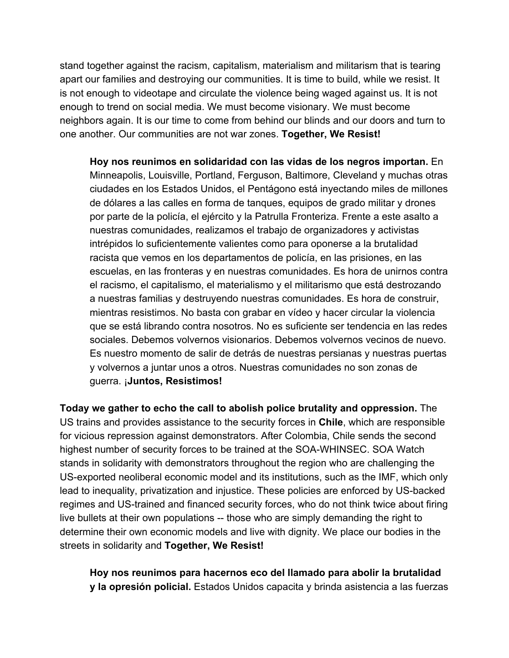stand together against the racism, capitalism, materialism and militarism that is tearing apart our families and destroying our communities. It is time to build, while we resist. It is not enough to videotape and circulate the violence being waged against us. It is not enough to trend on social media. We must become visionary. We must become neighbors again. It is our time to come from behind our blinds and our doors and turn to one another. Our communities are not war zones. **Together, We Resist!**

**Hoy nos reunimos en solidaridad con las vidas de los negros importan.** En Minneapolis, Louisville, Portland, Ferguson, Baltimore, Cleveland y muchas otras ciudades en los Estados Unidos, el Pentágono está inyectando miles de millones de dólares a las calles en forma de tanques, equipos de grado militar y drones por parte de la policía, el ejército y la Patrulla Fronteriza. Frente a este asalto a nuestras comunidades, realizamos el trabajo de organizadores y activistas intrépidos lo suficientemente valientes como para oponerse a la brutalidad racista que vemos en los departamentos de policía, en las prisiones, en las escuelas, en las fronteras y en nuestras comunidades. Es hora de unirnos contra el racismo, el capitalismo, el materialismo y el militarismo que está destrozando a nuestras familias y destruyendo nuestras comunidades. Es hora de construir, mientras resistimos. No basta con grabar en vídeo y hacer circular la violencia que se está librando contra nosotros. No es suficiente ser tendencia en las redes sociales. Debemos volvernos visionarios. Debemos volvernos vecinos de nuevo. Es nuestro momento de salir de detrás de nuestras persianas y nuestras puertas y volvernos a juntar unos a otros. Nuestras comunidades no son zonas de guerra. ¡**Juntos, Resistimos!**

**Today we gather to echo the call to abolish police brutality and oppression.** The US trains and provides assistance to the security forces in **Chile**, which are responsible for vicious repression against demonstrators. After Colombia, Chile sends the second highest number of security forces to be trained at the SOA-WHINSEC. SOA Watch stands in solidarity with demonstrators throughout the region who are challenging the US-exported neoliberal economic model and its institutions, such as the IMF, which only lead to inequality, privatization and injustice. These policies are enforced by US-backed regimes and US-trained and financed security forces, who do not think twice about firing live bullets at their own populations -- those who are simply demanding the right to determine their own economic models and live with dignity. We place our bodies in the streets in solidarity and **Together, We Resist!**

**Hoy nos reunimos para hacernos eco del llamado para abolir la brutalidad y la opresión policial.** Estados Unidos capacita y brinda asistencia a las fuerzas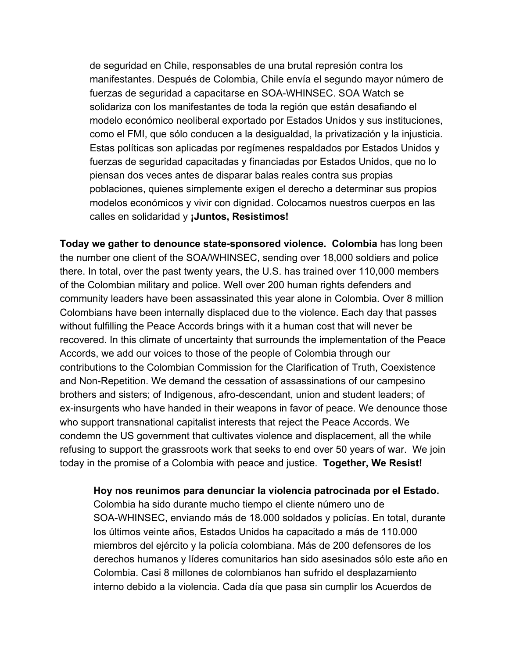de seguridad en Chile, responsables de una brutal represión contra los manifestantes. Después de Colombia, Chile envía el segundo mayor número de fuerzas de seguridad a capacitarse en SOA-WHINSEC. SOA Watch se solidariza con los manifestantes de toda la región que están desafiando el modelo económico neoliberal exportado por Estados Unidos y sus instituciones, como el FMI, que sólo conducen a la desigualdad, la privatización y la injusticia. Estas políticas son aplicadas por regímenes respaldados por Estados Unidos y fuerzas de seguridad capacitadas y financiadas por Estados Unidos, que no lo piensan dos veces antes de disparar balas reales contra sus propias poblaciones, quienes simplemente exigen el derecho a determinar sus propios modelos económicos y vivir con dignidad. Colocamos nuestros cuerpos en las calles en solidaridad y **¡Juntos, Resistimos!**

**Today we gather to denounce state-sponsored violence. Colombia** has long been the number one client of the SOA/WHINSEC, sending over 18,000 soldiers and police there. In total, over the past twenty years, the U.S. has trained over 110,000 members of the Colombian military and police. Well over 200 human rights defenders and community leaders have been assassinated this year alone in Colombia. Over 8 million Colombians have been internally displaced due to the violence. Each day that passes without fulfilling the Peace Accords brings with it a human cost that will never be recovered. In this climate of uncertainty that surrounds the implementation of the Peace Accords, we add our voices to those of the people of Colombia through our contributions to the Colombian Commission for the Clarification of Truth, Coexistence and Non-Repetition. We demand the cessation of assassinations of our campesino brothers and sisters; of Indigenous, afro-descendant, union and student leaders; of ex-insurgents who have handed in their weapons in favor of peace. We denounce those who support transnational capitalist interests that reject the Peace Accords. We condemn the US government that cultivates violence and displacement, all the while refusing to support the grassroots work that seeks to end over 50 years of war. We join today in the promise of a Colombia with peace and justice. **Together, We Resist!**

**Hoy nos reunimos para denunciar la violencia patrocinada por el Estado.**

Colombia ha sido durante mucho tiempo el cliente número uno de SOA-WHINSEC, enviando más de 18.000 soldados y policías. En total, durante los últimos veinte años, Estados Unidos ha capacitado a más de 110.000 miembros del ejército y la policía colombiana. Más de 200 defensores de los derechos humanos y líderes comunitarios han sido asesinados sólo este año en Colombia. Casi 8 millones de colombianos han sufrido el desplazamiento interno debido a la violencia. Cada día que pasa sin cumplir los Acuerdos de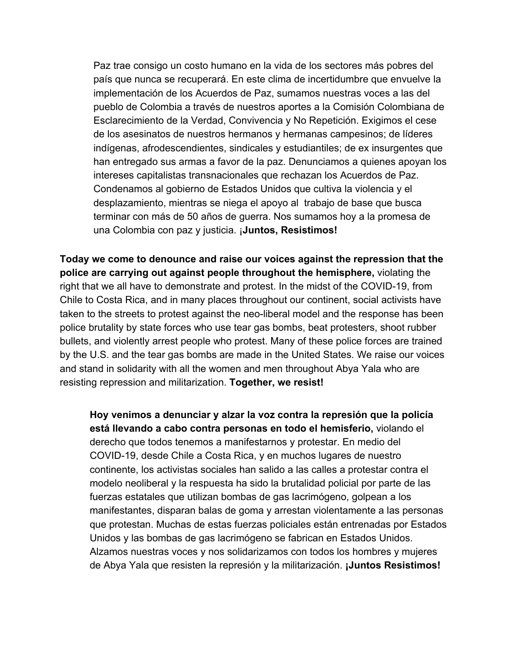Paz trae consigo un costo humano en la vida de los sectores más pobres del país que nunca se recuperará. En este clima de incertidumbre que envuelve la implementación de los Acuerdos de Paz, sumamos nuestras voces a las del pueblo de Colombia a través de nuestros aportes a la Comisión Colombiana de Esclarecimiento de la Verdad, Convivencia y No Repetición. Exigimos el cese de los asesinatos de nuestros hermanos y hermanas campesinos; de líderes indígenas, afrodescendientes, sindicales y estudiantiles; de ex insurgentes que han entregado sus armas a favor de la paz. Denunciamos a quienes apoyan los intereses capitalistas transnacionales que rechazan los Acuerdos de Paz. Condenamos al gobierno de Estados Unidos que cultiva la violencia y el desplazamiento, mientras se niega el apoyo al trabajo de base que busca terminar con más de 50 años de guerra. Nos sumamos hoy a la promesa de una Colombia con paz y justicia. ¡**Juntos, Resistimos!**

**Today we come to denounce and raise our voices against the repression that the police are carrying out against people throughout the hemisphere,** violating the right that we all have to demonstrate and protest. In the midst of the COVID-19, from Chile to Costa Rica, and in many places throughout our continent, social activists have taken to the streets to protest against the neo-liberal model and the response has been police brutality by state forces who use tear gas bombs, beat protesters, shoot rubber bullets, and violently arrest people who protest. Many of these police forces are trained by the U.S. and the tear gas bombs are made in the United States. We raise our voices and stand in solidarity with all the women and men throughout Abya Yala who are resisting repression and militarization. **Together, we resist!**

**Hoy venimos a denunciar y alzar la voz contra la represión que la policía está llevando a cabo contra personas en todo el hemisferio,** violando el derecho que todos tenemos a manifestarnos y protestar. En medio del COVID-19, desde Chile a Costa Rica, y en muchos lugares de nuestro continente, los activistas sociales han salido a las calles a protestar contra el modelo neoliberal y la respuesta ha sido la brutalidad policial por parte de las fuerzas estatales que utilizan bombas de gas lacrimógeno, golpean a los manifestantes, disparan balas de goma y arrestan violentamente a las personas que protestan. Muchas de estas fuerzas policiales están entrenadas por Estados Unidos y las bombas de gas lacrimógeno se fabrican en Estados Unidos. Alzamos nuestras voces y nos solidarizamos con todos los hombres y mujeres de Abya Yala que resisten la represión y la militarización. **¡Juntos Resistimos!**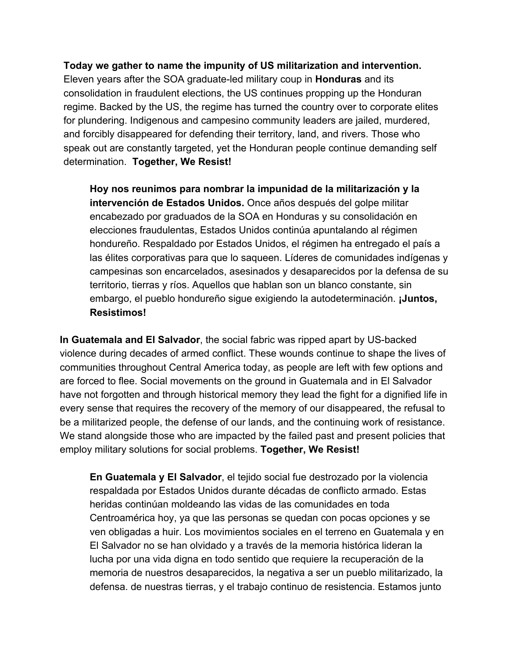**Today we gather to name the impunity of US militarization and intervention.** Eleven years after the SOA graduate-led military coup in **Honduras** and its consolidation in fraudulent elections, the US continues propping up the Honduran regime. Backed by the US, the regime has turned the country over to corporate elites for plundering. Indigenous and campesino community leaders are jailed, murdered, and forcibly disappeared for defending their territory, land, and rivers. Those who speak out are constantly targeted, yet the Honduran people continue demanding self determination. **Together, We Resist!**

**Hoy nos reunimos para nombrar la impunidad de la militarización y la intervención de Estados Unidos.** Once años después del golpe militar encabezado por graduados de la SOA en Honduras y su consolidación en elecciones fraudulentas, Estados Unidos continúa apuntalando al régimen hondureño. Respaldado por Estados Unidos, el régimen ha entregado el país a las élites corporativas para que lo saqueen. Líderes de comunidades indígenas y campesinas son encarcelados, asesinados y desaparecidos por la defensa de su territorio, tierras y ríos. Aquellos que hablan son un blanco constante, sin embargo, el pueblo hondureño sigue exigiendo la autodeterminación. **¡Juntos, Resistimos!**

**In Guatemala and El Salvador**, the social fabric was ripped apart by US-backed violence during decades of armed conflict. These wounds continue to shape the lives of communities throughout Central America today, as people are left with few options and are forced to flee. Social movements on the ground in Guatemala and in El Salvador have not forgotten and through historical memory they lead the fight for a dignified life in every sense that requires the recovery of the memory of our disappeared, the refusal to be a militarized people, the defense of our lands, and the continuing work of resistance. We stand alongside those who are impacted by the failed past and present policies that employ military solutions for social problems. **Together, We Resist!**

**En Guatemala y El Salvador**, el tejido social fue destrozado por la violencia respaldada por Estados Unidos durante décadas de conflicto armado. Estas heridas continúan moldeando las vidas de las comunidades en toda Centroamérica hoy, ya que las personas se quedan con pocas opciones y se ven obligadas a huir. Los movimientos sociales en el terreno en Guatemala y en El Salvador no se han olvidado y a través de la memoria histórica lideran la lucha por una vida digna en todo sentido que requiere la recuperación de la memoria de nuestros desaparecidos, la negativa a ser un pueblo militarizado, la defensa. de nuestras tierras, y el trabajo continuo de resistencia. Estamos junto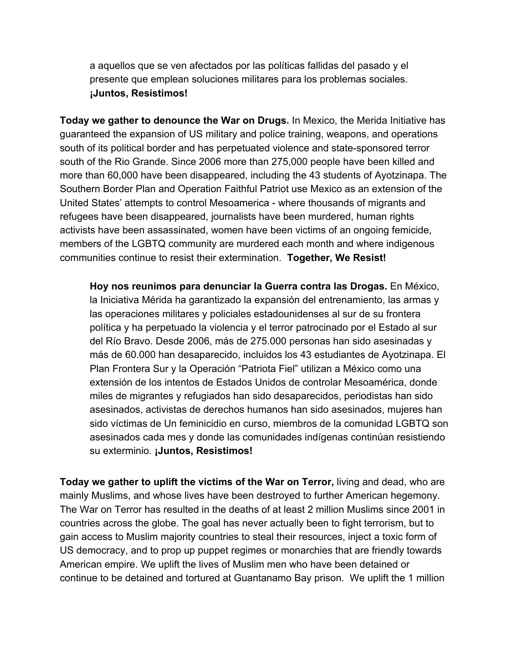a aquellos que se ven afectados por las políticas fallidas del pasado y el presente que emplean soluciones militares para los problemas sociales. **¡Juntos, Resistimos!**

**Today we gather to denounce the War on Drugs.** In Mexico, the Merida Initiative has guaranteed the expansion of US military and police training, weapons, and operations south of its political border and has perpetuated violence and state-sponsored terror south of the Rio Grande. Since 2006 more than 275,000 people have been killed and more than 60,000 have been disappeared, including the 43 students of Ayotzinapa. The Southern Border Plan and Operation Faithful Patriot use Mexico as an extension of the United States' attempts to control Mesoamerica - where thousands of migrants and refugees have been disappeared, journalists have been murdered, human rights activists have been assassinated, women have been victims of an ongoing femicide, members of the LGBTQ community are murdered each month and where indigenous communities continue to resist their extermination. **Together, We Resist!**

**Hoy nos reunimos para denunciar la Guerra contra las Drogas.** En México, la Iniciativa Mérida ha garantizado la expansión del entrenamiento, las armas y las operaciones militares y policiales estadounidenses al sur de su frontera política y ha perpetuado la violencia y el terror patrocinado por el Estado al sur del Río Bravo. Desde 2006, más de 275.000 personas han sido asesinadas y más de 60.000 han desaparecido, incluidos los 43 estudiantes de Ayotzinapa. El Plan Frontera Sur y la Operación "Patriota Fiel" utilizan a México como una extensión de los intentos de Estados Unidos de controlar Mesoamérica, donde miles de migrantes y refugiados han sido desaparecidos, periodistas han sido asesinados, activistas de derechos humanos han sido asesinados, mujeres han sido víctimas de Un feminicidio en curso, miembros de la comunidad LGBTQ son asesinados cada mes y donde las comunidades indígenas continúan resistiendo su exterminio. **¡Juntos, Resistimos!**

**Today we gather to uplift the victims of the War on Terror,** living and dead, who are mainly Muslims, and whose lives have been destroyed to further American hegemony. The War on Terror has resulted in the deaths of at least 2 million Muslims since 2001 in countries across the globe. The goal has never actually been to fight terrorism, but to gain access to Muslim majority countries to steal their resources, inject a toxic form of US democracy, and to prop up puppet regimes or monarchies that are friendly towards American empire. We uplift the lives of Muslim men who have been detained or continue to be detained and tortured at Guantanamo Bay prison. We uplift the 1 million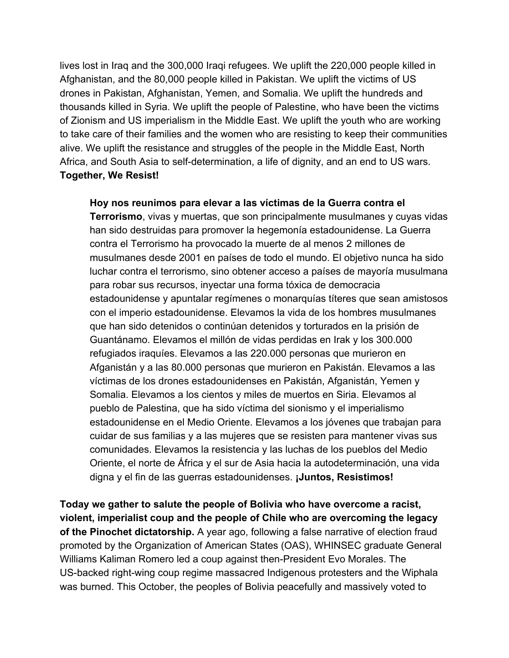lives lost in Iraq and the 300,000 Iraqi refugees. We uplift the 220,000 people killed in Afghanistan, and the 80,000 people killed in Pakistan. We uplift the victims of US drones in Pakistan, Afghanistan, Yemen, and Somalia. We uplift the hundreds and thousands killed in Syria. We uplift the people of Palestine, who have been the victims of Zionism and US imperialism in the Middle East. We uplift the youth who are working to take care of their families and the women who are resisting to keep their communities alive. We uplift the resistance and struggles of the people in the Middle East, North Africa, and South Asia to self-determination, a life of dignity, and an end to US wars. **Together, We Resist!**

**Hoy nos reunimos para elevar a las víctimas de la Guerra contra el Terrorismo**, vivas y muertas, que son principalmente musulmanes y cuyas vidas han sido destruidas para promover la hegemonía estadounidense. La Guerra contra el Terrorismo ha provocado la muerte de al menos 2 millones de musulmanes desde 2001 en países de todo el mundo. El objetivo nunca ha sido luchar contra el terrorismo, sino obtener acceso a países de mayoría musulmana para robar sus recursos, inyectar una forma tóxica de democracia estadounidense y apuntalar regímenes o monarquías títeres que sean amistosos con el imperio estadounidense. Elevamos la vida de los hombres musulmanes que han sido detenidos o continúan detenidos y torturados en la prisión de Guantánamo. Elevamos el millón de vidas perdidas en Irak y los 300.000 refugiados iraquíes. Elevamos a las 220.000 personas que murieron en Afganistán y a las 80.000 personas que murieron en Pakistán. Elevamos a las víctimas de los drones estadounidenses en Pakistán, Afganistán, Yemen y Somalia. Elevamos a los cientos y miles de muertos en Siria. Elevamos al pueblo de Palestina, que ha sido víctima del sionismo y el imperialismo estadounidense en el Medio Oriente. Elevamos a los jóvenes que trabajan para cuidar de sus familias y a las mujeres que se resisten para mantener vivas sus comunidades. Elevamos la resistencia y las luchas de los pueblos del Medio Oriente, el norte de África y el sur de Asia hacia la autodeterminación, una vida digna y el fin de las guerras estadounidenses. **¡Juntos, Resistimos!**

**Today we gather to salute the people of Bolivia who have overcome a racist, violent, imperialist coup and the people of Chile who are overcoming the legacy of the Pinochet dictatorship.** A year ago, following a false narrative of election fraud promoted by the Organization of American States (OAS), WHINSEC graduate General Williams Kaliman Romero led a coup against then-President Evo Morales. The US-backed right-wing coup regime massacred Indigenous protesters and the Wiphala was burned. This October, the peoples of Bolivia peacefully and massively voted to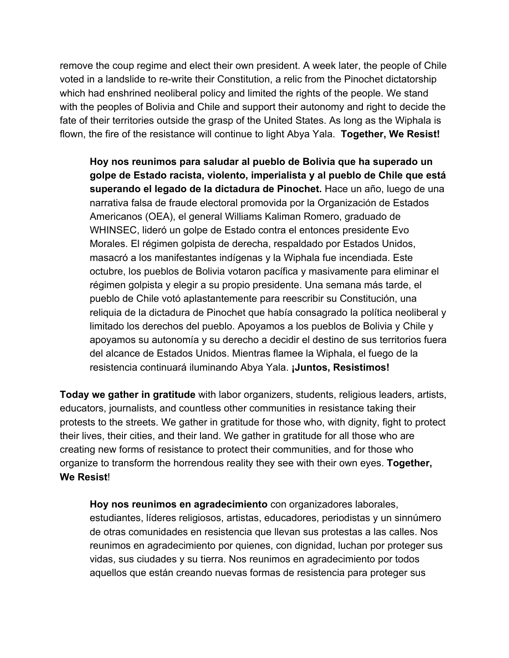remove the coup regime and elect their own president. A week later, the people of Chile voted in a landslide to re-write their Constitution, a relic from the Pinochet dictatorship which had enshrined neoliberal policy and limited the rights of the people. We stand with the peoples of Bolivia and Chile and support their autonomy and right to decide the fate of their territories outside the grasp of the United States. As long as the Wiphala is flown, the fire of the resistance will continue to light Abya Yala. **Together, We Resist!**

**Hoy nos reunimos para saludar al pueblo de Bolivia que ha superado un golpe de Estado racista, violento, imperialista y al pueblo de Chile que está superando el legado de la dictadura de Pinochet.** Hace un año, luego de una narrativa falsa de fraude electoral promovida por la Organización de Estados Americanos (OEA), el general Williams Kaliman Romero, graduado de WHINSEC, lideró un golpe de Estado contra el entonces presidente Evo Morales. El régimen golpista de derecha, respaldado por Estados Unidos, masacró a los manifestantes indígenas y la Wiphala fue incendiada. Este octubre, los pueblos de Bolivia votaron pacífica y masivamente para eliminar el régimen golpista y elegir a su propio presidente. Una semana más tarde, el pueblo de Chile votó aplastantemente para reescribir su Constitución, una reliquia de la dictadura de Pinochet que había consagrado la política neoliberal y limitado los derechos del pueblo. Apoyamos a los pueblos de Bolivia y Chile y apoyamos su autonomía y su derecho a decidir el destino de sus territorios fuera del alcance de Estados Unidos. Mientras flamee la Wiphala, el fuego de la resistencia continuará iluminando Abya Yala. **¡Juntos, Resistimos!**

**Today we gather in gratitude** with labor organizers, students, religious leaders, artists, educators, journalists, and countless other communities in resistance taking their protests to the streets. We gather in gratitude for those who, with dignity, fight to protect their lives, their cities, and their land. We gather in gratitude for all those who are creating new forms of resistance to protect their communities, and for those who organize to transform the horrendous reality they see with their own eyes. **Together, We Resist**!

**Hoy nos reunimos en agradecimiento** con organizadores laborales, estudiantes, líderes religiosos, artistas, educadores, periodistas y un sinnúmero de otras comunidades en resistencia que llevan sus protestas a las calles. Nos reunimos en agradecimiento por quienes, con dignidad, luchan por proteger sus vidas, sus ciudades y su tierra. Nos reunimos en agradecimiento por todos aquellos que están creando nuevas formas de resistencia para proteger sus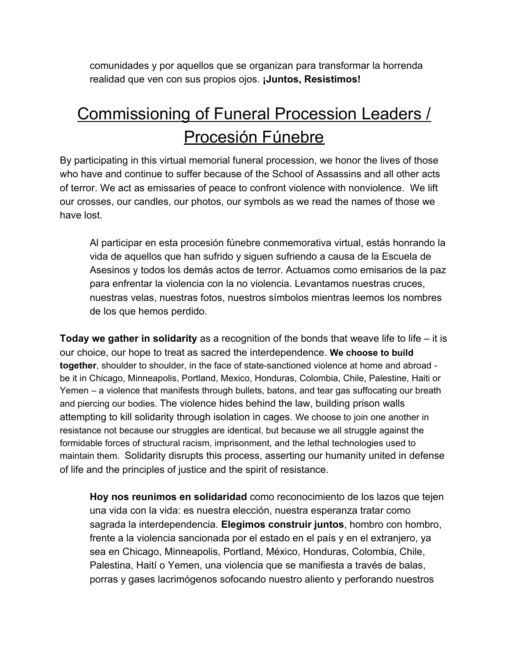comunidades y por aquellos que se organizan para transformar la horrenda realidad que ven con sus propios ojos. **¡Juntos, Resistimos!**

## Commissioning of Funeral Procession Leaders / Procesión Fúnebre

By participating in this virtual memorial funeral procession, we honor the lives of those who have and continue to suffer because of the School of Assassins and all other acts of terror. We act as emissaries of peace to confront violence with nonviolence. We lift our crosses, our candles, our photos, our symbols as we read the names of those we have lost.

Al participar en esta procesión fúnebre conmemorativa virtual, estás honrando la vida de aquellos que han sufrido y siguen sufriendo a causa de la Escuela de Asesinos y todos los demás actos de terror. Actuamos como emisarios de la paz para enfrentar la violencia con la no violencia. Levantamos nuestras cruces, nuestras velas, nuestras fotos, nuestros símbolos mientras leemos los nombres de los que hemos perdido.

**Today we gather in solidarity** as a recognition of the bonds that weave life to life – it is our choice, our hope to treat as sacred the interdependence. **We choose to build together**, shoulder to shoulder, in the face of state-sanctioned violence at home and abroad be it in Chicago, Minneapolis, Portland, Mexico, Honduras, Colombia, Chile, Palestine, Haiti or Yemen – a violence that manifests through bullets, batons, and tear gas suffocating our breath and piercing our bodies. The violence hides behind the law, building prison walls attempting to kill solidarity through isolation in cages. We choose to join one another in resistance not because our struggles are identical, but because we all struggle against the formidable forces of structural racism, imprisonment, and the lethal technologies used to maintain them. Solidarity disrupts this process, asserting our humanity united in defense of life and the principles of justice and the spirit of resistance.

**Hoy nos reunimos en solidaridad** como reconocimiento de los lazos que tejen una vida con la vida: es nuestra elección, nuestra esperanza tratar como sagrada la interdependencia. **Elegimos construir juntos**, hombro con hombro, frente a la violencia sancionada por el estado en el país y en el extranjero, ya sea en Chicago, Minneapolis, Portland, México, Honduras, Colombia, Chile, Palestina, Haití o Yemen, una violencia que se manifiesta a través de balas, porras y gases lacrimógenos sofocando nuestro aliento y perforando nuestros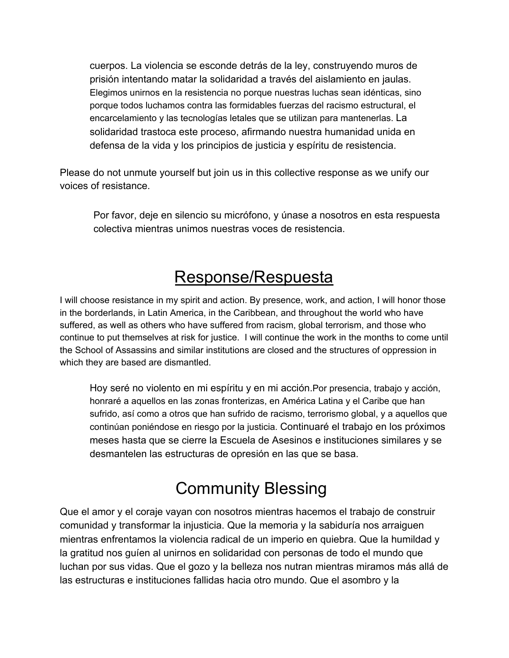cuerpos. La violencia se esconde detrás de la ley, construyendo muros de prisión intentando matar la solidaridad a través del aislamiento en jaulas. Elegimos unirnos en la resistencia no porque nuestras luchas sean idénticas, sino porque todos luchamos contra las formidables fuerzas del racismo estructural, el encarcelamiento y las tecnologías letales que se utilizan para mantenerlas. La solidaridad trastoca este proceso, afirmando nuestra humanidad unida en defensa de la vida y los principios de justicia y espíritu de resistencia.

Please do not unmute yourself but join us in this collective response as we unify our voices of resistance.

Por favor, deje en silencio su micrófono, y únase a nosotros en esta respuesta colectiva mientras unimos nuestras voces de resistencia.

### Response/Respuesta

I will choose resistance in my spirit and action. By presence, work, and action, I will honor those in the borderlands, in Latin America, in the Caribbean, and throughout the world who have suffered, as well as others who have suffered from racism, global terrorism, and those who continue to put themselves at risk for justice. I will continue the work in the months to come until the School of Assassins and similar institutions are closed and the structures of oppression in which they are based are dismantled.

Hoy seré no violento en mi espíritu y en mi acción.Por presencia, trabajo y acción, honraré a aquellos en las zonas fronterizas, en América Latina y el Caribe que han sufrido, así como a otros que han sufrido de racismo, terrorismo global, y a aquellos que continúan poniéndose en riesgo por la justicia. Continuaré el trabajo en los próximos meses hasta que se cierre la Escuela de Asesinos e instituciones similares y se desmantelen las estructuras de opresión en las que se basa.

### Community Blessing

Que el amor y el coraje vayan con nosotros mientras hacemos el trabajo de construir comunidad y transformar la injusticia. Que la memoria y la sabiduría nos arraiguen mientras enfrentamos la violencia radical de un imperio en quiebra. Que la humildad y la gratitud nos guíen al unirnos en solidaridad con personas de todo el mundo que luchan por sus vidas. Que el gozo y la belleza nos nutran mientras miramos más allá de las estructuras e instituciones fallidas hacia otro mundo. Que el asombro y la